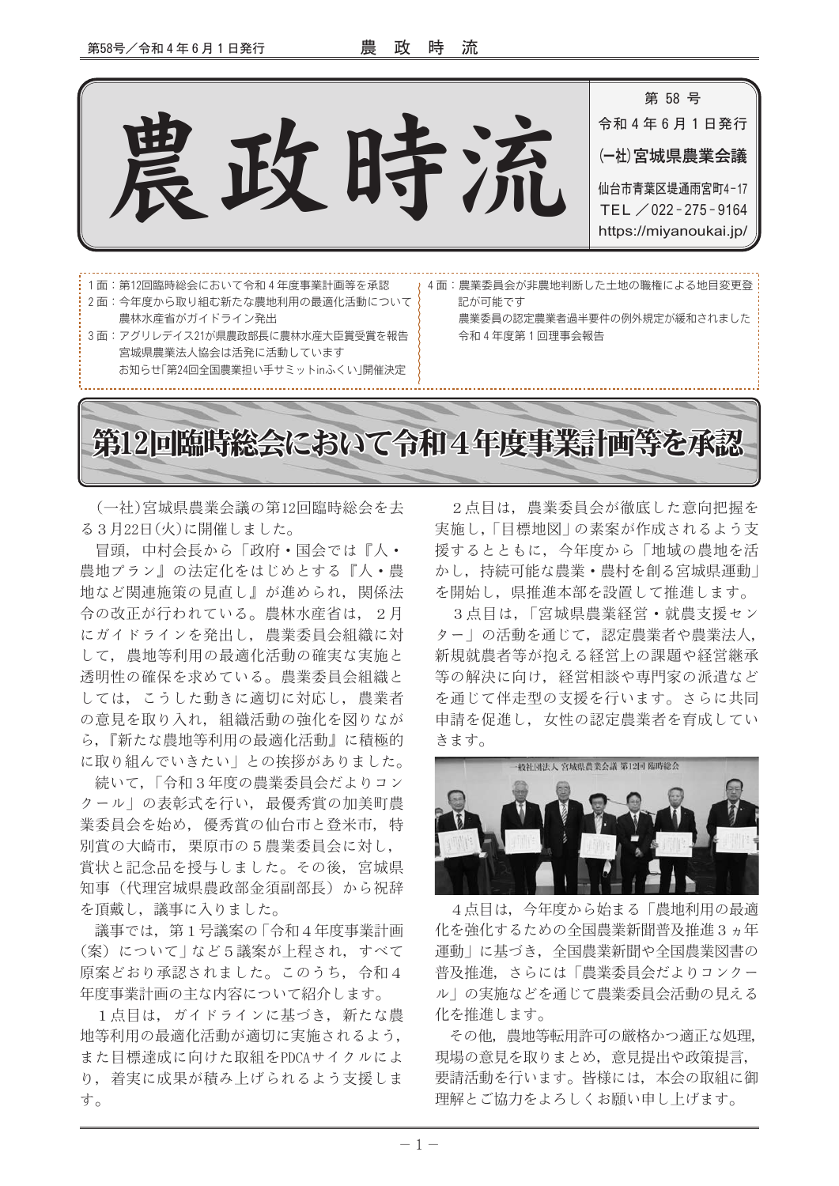

(一社)宮城県農業会議の第12回臨時総会を去 る3月22日(火)に開催しました。

冒頭、中村会長から「政府・国会では『人・ 農地プラン』の法定化をはじめとする『人・農 地など関連施策の見直し』が進められ、関係法 令の改正が行われている。農林水産省は、2月 にガイドラインを発出し、農業委員会組織に対 して、農地等利用の最適化活動の確実な実施と 透明性の確保を求めている。農業委員会組織と しては、こうした動きに適切に対応し、農業者 の意見を取り入れ、組織活動の強化を図りなが ら、『新たな農地等利用の最適化活動』に積極的 に取り組んでいきたい」との挨拶がありました。

続いて、「令和3年度の農業委員会だよりコン クール」の表彰式を行い、最優秀賞の加美町農 業委員会を始め、優秀賞の仙台市と登米市、特 別賞の大崎市, 栗原市の5農業委員会に対し, 賞状と記念品を授与しました。その後、宮城県 知事(代理宮城県農政部金須副部長)から祝辞 を頂戴し、議事に入りました。

議事では、第1号議案の「令和4年度事業計画 (案)について | など5議案が上程され、すべて 原案どおり承認されました。このうち、令和4 年度事業計画の主な内容について紹介します。

1点目は、ガイドラインに基づき、新たな農 地等利用の最適化活動が適切に実施されるよう, また目標達成に向けた取組をPDCAサイクルによ り、着実に成果が積み上げられるよう支援しま す。

2点目は、農業委員会が徹底した意向把握を 実施し、「目標地図 | の素案が作成されるよう支 援するとともに、今年度から「地域の農地を活 かし、持続可能な農業・農村を創る宮城県運動」 を開始し、県推進本部を設置して推進します。

3点目は,「宮城県農業経営・就農支援セン ター」の活動を通じて、認定農業者や農業法人, 新規就農者等が抱える経営上の課題や経営継承 等の解決に向け、経営相談や専門家の派遣など を通じて伴走型の支援を行います。さらに共同 申請を促進し、女性の認定農業者を育成してい きます。



4点目は、今年度から始まる「農地利用の最適 化を強化するための全国農業新聞普及推進3ヵ年 運動|に基づき、 全国農業新聞や全国農業図書の 普及推進、さらには「農業委員会だよりコンクー ル」の実施などを通じて農業委員会活動の見える 化を推進します。

その他、 農地等転用許可の厳格かつ適正な処理. 現場の意見を取りまとめ、意見提出や政策提言. 要請活動を行います。皆様には、本会の取組に御 理解とご協力をよろしくお願い申し上げます。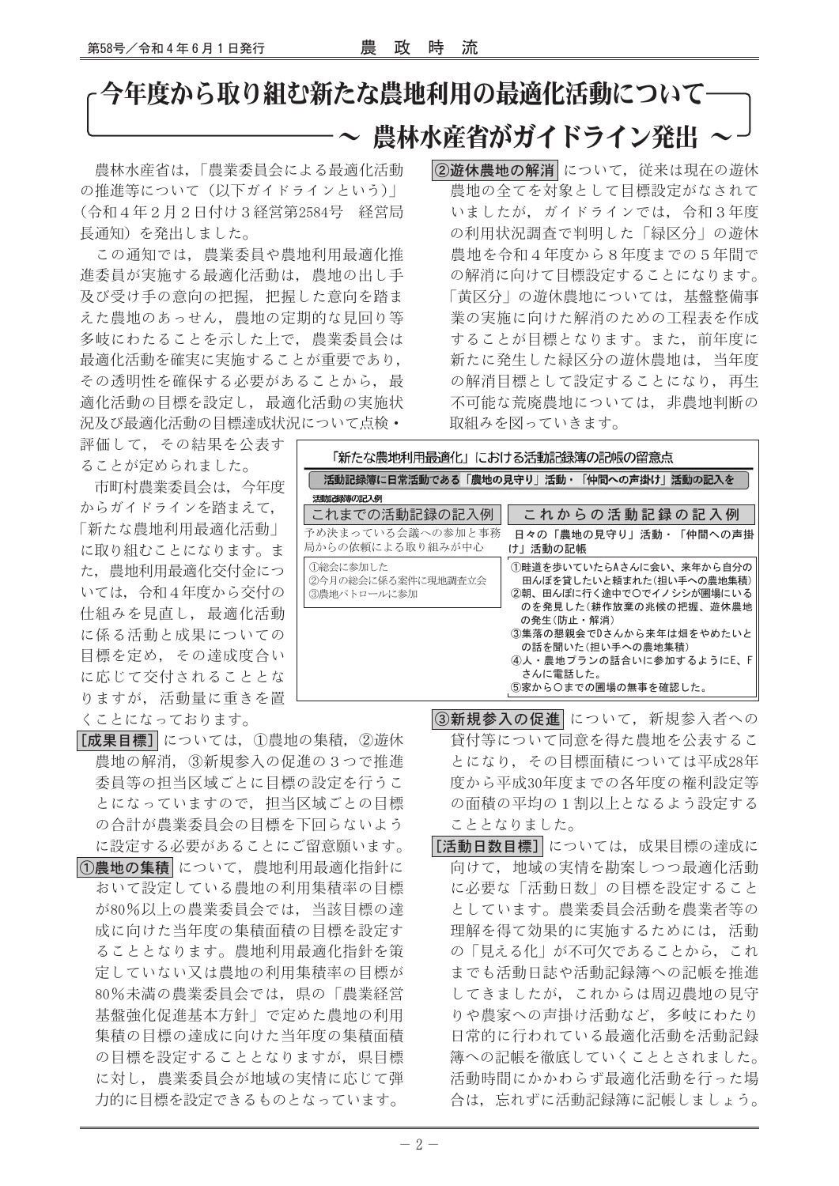## 今年度から取り組む新たな農地利用の最適化活動について 農林水産省がガイドライン発出

農林水産省は、「農業委員会による最適化活動 の推進等について(以下ガイドラインという) (令和4年2月2日付け3経営第2584号 経営局 長通知)を発出しました。

この通知では、農業委員や農地利用最適化推 進委員が実施する最適化活動は、農地の出し手 及び受け手の意向の把握、把握した意向を踏ま えた農地のあっせん、農地の定期的な見回り等 多岐にわたることを示した上で、農業委員会は 最適化活動を確実に実施することが重要であり、 その透明性を確保する必要があることから、最 適化活動の目標を設定し、最適化活動の実施状 況及び最適化活動の目標達成状況について点検·

②游休農地の解消について、従来は現在の游休 農地の全てを対象として目標設定がなされて いましたが、ガイドラインでは、令和3年度 の利用状況調査で判明した「緑区分」の游休 農地を令和4年度から8年度までの5年間で の解消に向けて目標設定することになります。 「黄区分」の游休農地については、基盤整備事 業の実施に向けた解消のための工程表を作成 することが目標となります。また、前年度に 新たに発生した緑区分の遊休農地は、当年度 の解消目標として設定することになり、再生 不可能な荒廃農地については、非農地判断の 取組みを図っていきます。

評価して、その結果を公表す ることが定められました。

市町村農業委員会は、今年度 からガイドラインを踏まえて, 「新たな農地利用最適化活動」 に取り組むことになります。ま た、農地利用最適化交付金につ いては、令和4年度から交付の 仕組みを見直し、最適化活動 に係る活動と成果についての 目標を定め、その達成度合い に応じて交付されることとな りますが、活動量に重きを置 くことになっております。

|[成果目標]| については、①農地の集積, ②遊休 農地の解消, 3新規参入の促進の3つで推進 委員等の担当区域ごとに目標の設定を行うこ とになっていますので、担当区域ごとの目標 の合計が農業委員会の目標を下回らないよう に設定する必要があることにご留意願います。 13農地の集積 について、農地利用最適化指針に おいて設定している農地の利用集積率の目標 が80%以上の農業委員会では、当該目標の達 成に向けた当年度の集積面積の目標を設定す ることとなります。農地利用最適化指針を策 定していない又は農地の利用集積率の目標が 80%未満の農業委員会では、県の「農業経営 |基盤強化促進基本方針 | で定めた農地の利用 集積の目標の達成に向けた当年度の集積面積 の目標を設定することとなりますが、県目標 に対し、農業委員会が地域の実情に応じて弾 力的に目標を設定できるものとなっています。

「新たな農地利用最適化」における活動記録簿の記帳の留意点 活動記録簿に日常活動である「農地の見守り」活動・「仲間への声掛け」活動の記入を 活動記録簿の記入例 これまでの活動記録の記入例 これからの活動記録の記入例 予め決まっている会議への参加と事務 日々の「農地の見守り」活動・「仲間への声掛 局からの依頼による取り組みが中心 け」活動の記帳 1総会に参加した 1畦道を歩いていたらAさんに会い、来年から自分の ②今月の総会に係る案件に現地調査立会 田んぼを貸したいと頼まれた(担い手への農地集積) 3農地パトロールに参加 2朝、田んぼに行く途中で〇でイノシシが圃場にいる のを発見した(耕作放棄の兆候の把握、遊休農地 の発生(防止・解消) 3集落の懇親会でDさんから来年は畑をやめたいと の話を聞いた(担い手への農地集積) 4)人·農地プランの話合いに参加するようにE、F さんに電話した。 ⑤家から〇までの圃場の無事を確認した。

> 3新規参入の促進 について、新規参入者への 貸付等について同意を得た農地を公表するこ とになり、その目標面積については平成28年 度から平成30年度までの各年度の権利設定等 の面積の平均の1割以上となるよう設定する こととなりました。

> [活動日数目標] については、成果目標の達成に 向けて、地域の実情を勘案しつつ最適化活動 に必要な「活動日数」の目標を設定すること としています。農業委員会活動を農業者等の 理解を得て効果的に実施するためには、活動 の「見える化」が不可欠であることから、これ までも活動日誌や活動記録簿への記帳を推進 してきましたが、これからは周辺農地の見守 りや農家への声掛け活動など、多岐にわたり 日常的に行われている最適化活動を活動記録 簿への記帳を徹底していくこととされました。 活動時間にかかわらず最適化活動を行った場 合は、忘れずに活動記録簿に記帳しましょう。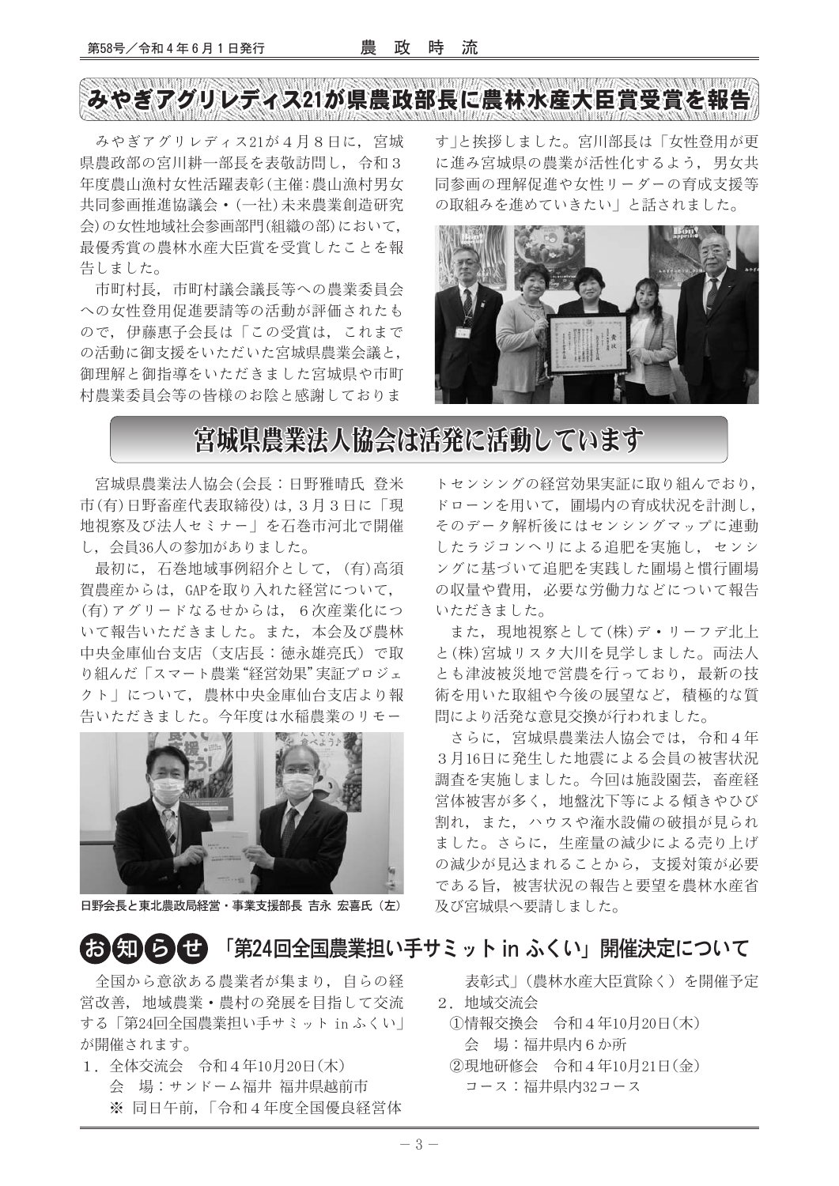# みやぎアグリレディス21が県農政部長に農林水産大臣賞受賞を報告

みやぎアグリレディス21が4月8日に、宮城 県農政部の宮川耕一部長を表敬訪問し、令和3 年度農山漁村女性活躍表彰(主催:農山漁村男女 共同参画推進協議会 • (一社)未来農業創造研究 会)の女性地域社会参画部門(組織の部)において, 最優秀賞の農林水産大臣賞を受賞したことを報 告しました。

市町村長、市町村議会議長等への農業委員会 への女性登用促進要請等の活動が評価されたも ので、伊藤惠子会長は「この受賞は、これまで の活動に御支援をいただいた宮城県農業会議と, 御理解と御指導をいただきました宮城県や市町 村農業委員会等の皆様のお陰と感謝しておりま

す」と挨拶しました。宮川部長は「女性登用が更 に進み宮城県の農業が活性化するよう、男女共 同参画の理解促進や女性リーダーの育成支援等 の取組みを進めていきたい」と話されました。



### 宮城県農業法人協会は活発に活動しています

宮城県農業法人協会(会長:日野雅晴氏 登米 市(有)日野畜産代表取締役)は、3月3日に「現 地視察及び法人セミナー」を石巻市河北で開催 し、会員36人の参加がありました。

最初に、石巻地域事例紹介として、(有)高須 賀農産からは、GAPを取り入れた経営について, (有)アグリードなるせからは、6次産業化につ いて報告いただきました。また、本会及び農林 中央金庫仙台支店(支店長:徳永雄亮氏)で取 り組んだ「スマート農業"経営効果"実証プロジェ クト」について、農林中央金庫仙台支店より報 告いただきました。今年度は水稲農業のリモー



日野会長と東北農政局経営・事業支援部長 吉永 宏喜氏 (左)

63 知らせ 「第24回全国農業担い手サミット in ふくい」開催決定について

全国から意欲ある農業者が集まり、自らの経 営改善、地域農業·農村の発展を目指して交流 する「第24回全国農業担い手サミット in ふくい」 が開催されます。

1. 全体交流会 令和4年10月20日(木) 会 場:サンドーム福井 福井県越前市 ※ 同日午前, 「令和4年度全国優良経営体

トセンシングの経営効果実証に取り組んでおり, ドローンを用いて、圃場内の育成状況を計測し、 そのデータ解析後にはセンシングマップに連動 したラジコンヘリによる追肥を実施し、センシ ングに基づいて追肥を実践した圃場と慣行圃場 の収量や費用、必要な労働力などについて報告 いただきました。

また、現地視察として(株)デ・リーフデ北上 と(株)宮城リスタ大川を見学しました。両法人 とも津波被災地で営農を行っており、最新の技 術を用いた取組や今後の展望など、積極的な質 問により活発な意見交換が行われました。

さらに、宮城県農業法人協会では、令和4年 3月16日に発生した地震による会員の被害状況 調査を実施しました。今回は施設園芸、畜産経 営体被害が多く、地盤沈下等による傾きやひび 割れ、また、ハウスや潅水設備の破損が見られ ました。さらに、生産量の減少による売り上げ の減少が見込まれることから、支援対策が必要 である旨、被害状況の報告と要望を農林水産省 及び宮城県へ要請しました。

表彰式|(農林水産大臣賞除く)を開催予定 2. 地域交流会

- ①情報交換会 令和4年10月20日(木) 会 場:福井県内6か所
- ②現地研修会 令和4年10月21日(金) コース:福井県内32コース